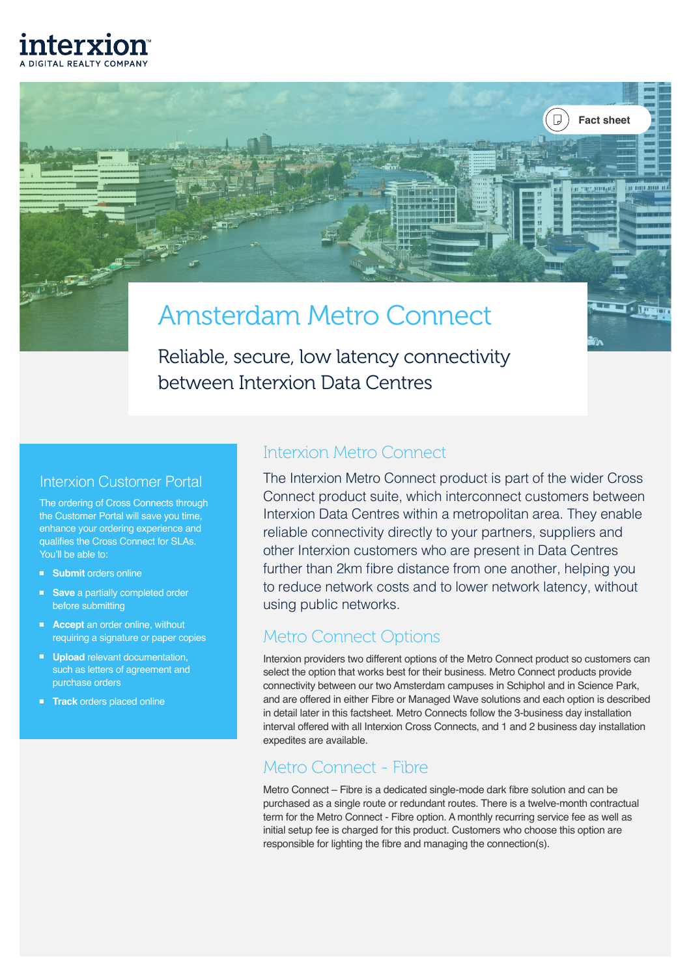

فتفسير

# Amsterdam Metro Connect

between Interxion Data Centres Reliable, secure, low latency connectivity

# Interxion Customer Portal

The ordering of Cross Connects through the Customer Portal will save you time, enhance your ordering experience and qualifies the Cross Connect for SLAs. You'll be able to:

- **Submit** orders online
- **Save** a partially completed order before submitting
- **Accept** an order online, without requiring a signature or paper copies
- **Upload** relevant documentation, such as letters of agreement and purchase orders
- **Track** orders placed online

# Interxion Metro Connect and additional computation of the culture

The Interxion Metro Connect product is part of the wider Cross Connect product suite, which interconnect customers between Interxion Data Centres within a metropolitan area. They enable reliable connectivity directly to your partners, suppliers and other Interxion customers who are present in Data Centres further than 2km fibre distance from one another, helping you to reduce network costs and to lower network latency, without using public networks.

**Fact sheet**

 $\sqrt{u}$ 

# Metro Connect Options

Interxion providers two different options of the Metro Connect product so customers can select the option that works best for their business. Metro Connect products provide connectivity between our two Amsterdam campuses in Schiphol and in Science Park, and are offered in either Fibre or Managed Wave solutions and each option is described in detail later in this factsheet. Metro Connects follow the 3-business day installation interval offered with all Interxion Cross Connects, and 1 and 2 business day installation expedites are available.

# Metro Connect - Fibre

Metro Connect – Fibre is a dedicated single-mode dark fibre solution and can be purchased as a single route or redundant routes. There is a twelve-month contractual term for the Metro Connect - Fibre option. A monthly recurring service fee as well as initial setup fee is charged for this product. Customers who choose this option are responsible for lighting the fibre and managing the connection(s).